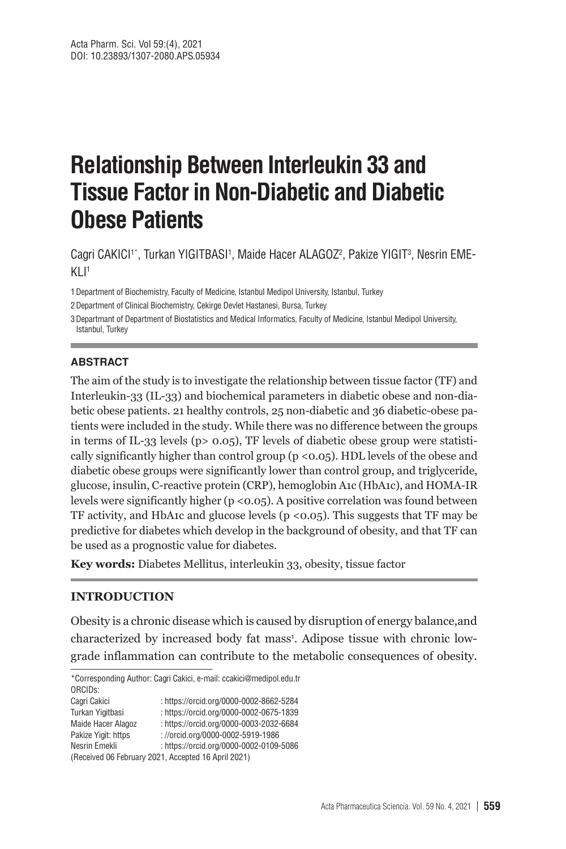# **Relationship Between Interleukin 33 and Tissue Factor in Non-Diabetic and Diabetic Obese Patients**

Cagri CAKICI1\*, Turkan YIGITBASI1, Maide Hacer ALAGOZ<sup>2</sup>, Pakize YIGIT<sup>3</sup>, Nesrin EME- $K11<sup>1</sup>$ 

1Department of Biochemistry, Faculty of Medicine, Istanbul Medipol University, Istanbul, Turkey

2Department of Clinical Biochemistry, Cekirge Devlet Hastanesi, Bursa, Turkey

3Departmant of Department of Biostatistics and Medical Informatics, Faculty of Medicine, Istanbul Medipol University, Istanbul, Turkey

#### **ABSTRACT**

The aim of the study is to investigate the relationship between tissue factor (TF) and Interleukin-33 (IL-33) and biochemical parameters in diabetic obese and non-diabetic obese patients. 21 healthy controls, 25 non-diabetic and 36 diabetic-obese patients were included in the study. While there was no difference between the groups in terms of IL-33 levels ( $p > 0.05$ ), TF levels of diabetic obese group were statistically significantly higher than control group ( $p < 0.05$ ). HDL levels of the obese and diabetic obese groups were significantly lower than control group, and triglyceride, glucose, insulin, C-reactive protein (CRP), hemoglobin A1c (HbA1c), and HOMA-IR levels were significantly higher ( $p < 0.05$ ). A positive correlation was found between TF activity, and HbA1c and glucose levels ( $p \lt 0.05$ ). This suggests that TF may be predictive for diabetes which develop in the background of obesity, and that TF can be used as a prognostic value for diabetes.

**Key words:** Diabetes Mellitus, interleukin 33, obesity, tissue factor

#### **INTRODUCTION**

Obesity is a chronic disease which is caused by disruption of energy balance,and characterized by increased body fat mass<sup>1</sup>. Adipose tissue with chronic lowgrade inflammation can contribute to the metabolic consequences of obesity.

\*Corresponding Author: Cagri Cakici, e-mail: ccakici@medipol.edu.tr ORCIDs: Cagri Cakici : https://orcid.org/0000-0002-8662-5284 Turkan Yigitbasi : https://orcid.org/0000-0002-0675-1839 Maide Hacer Alagoz : https://orcid.org/0000-0003-2032-6684 Pakize Yigit: https : //orcid.org/0000-0002-5919-1986 Nesrin Emekli : https://orcid.org/0000-0002-0109-5086 (Received 06 February 2021, Accepted 16 April 2021)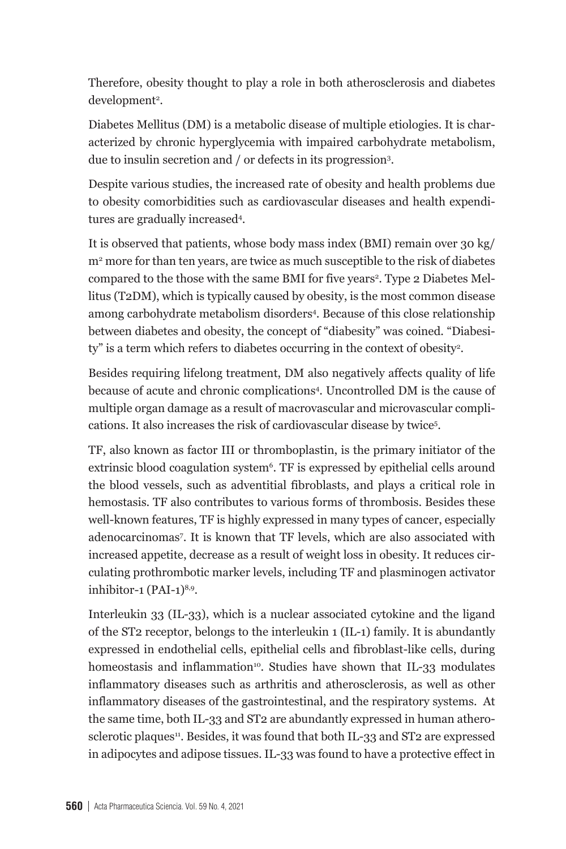Therefore, obesity thought to play a role in both atherosclerosis and diabetes development<sup>2</sup>.

Diabetes Mellitus (DM) is a metabolic disease of multiple etiologies. It is characterized by chronic hyperglycemia with impaired carbohydrate metabolism, due to insulin secretion and / or defects in its progression3 .

Despite various studies, the increased rate of obesity and health problems due to obesity comorbidities such as cardiovascular diseases and health expenditures are gradually increased4 .

It is observed that patients, whose body mass index (BMI) remain over 30 kg/ m<sup>2</sup> more for than ten years, are twice as much susceptible to the risk of diabetes compared to the those with the same BMI for five years<sup>2</sup>. Type 2 Diabetes Mellitus (T2DM), which is typically caused by obesity, is the most common disease among carbohydrate metabolism disorders4 . Because of this close relationship between diabetes and obesity, the concept of "diabesity" was coined. "Diabesity" is a term which refers to diabetes occurring in the context of obesity<sup>2</sup>.

Besides requiring lifelong treatment, DM also negatively affects quality of life because of acute and chronic complications4 . Uncontrolled DM is the cause of multiple organ damage as a result of macrovascular and microvascular complications. It also increases the risk of cardiovascular disease by twice5 .

TF, also known as factor III or thromboplastin, is the primary initiator of the extrinsic blood coagulation system<sup>6</sup>. TF is expressed by epithelial cells around the blood vessels, such as adventitial fibroblasts, and plays a critical role in hemostasis. TF also contributes to various forms of thrombosis. Besides these well-known features, TF is highly expressed in many types of cancer, especially adenocarcinomas7 . It is known that TF levels, which are also associated with increased appetite, decrease as a result of weight loss in obesity. It reduces circulating prothrombotic marker levels, including TF and plasminogen activator inhibitor-1  $(PAI-1)^{8,9}$ .

Interleukin 33 (IL-33), which is a nuclear associated cytokine and the ligand of the ST2 receptor, belongs to the interleukin 1 (IL-1) family. It is abundantly expressed in endothelial cells, epithelial cells and fibroblast-like cells, during homeostasis and inflammation<sup>10</sup>. Studies have shown that IL-33 modulates inflammatory diseases such as arthritis and atherosclerosis, as well as other inflammatory diseases of the gastrointestinal, and the respiratory systems. At the same time, both IL-33 and ST2 are abundantly expressed in human atherosclerotic plaques<sup>11</sup>. Besides, it was found that both IL-33 and ST2 are expressed in adipocytes and adipose tissues. IL-33 was found to have a protective effect in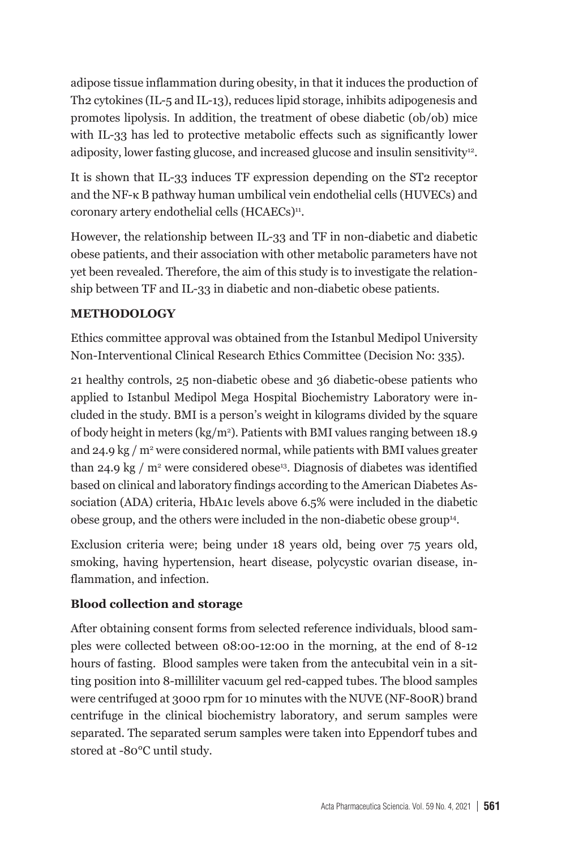adipose tissue inflammation during obesity, in that it induces the production of Th2 cytokines (IL-5 and IL-13), reduces lipid storage, inhibits adipogenesis and promotes lipolysis. In addition, the treatment of obese diabetic (ob/ob) mice with IL-33 has led to protective metabolic effects such as significantly lower adiposity, lower fasting glucose, and increased glucose and insulin sensitivity<sup>12</sup>.

It is shown that IL-33 induces TF expression depending on the ST2 receptor and the NF-κ B pathway human umbilical vein endothelial cells (HUVECs) and coronary artery endothelial cells (HCAECs)<sup>11</sup>.

However, the relationship between IL-33 and TF in non-diabetic and diabetic obese patients, and their association with other metabolic parameters have not yet been revealed. Therefore, the aim of this study is to investigate the relationship between TF and IL-33 in diabetic and non-diabetic obese patients.

# **METHODOLOGY**

Ethics committee approval was obtained from the Istanbul Medipol University Non-Interventional Clinical Research Ethics Committee (Decision No: 335).

21 healthy controls, 25 non-diabetic obese and 36 diabetic-obese patients who applied to Istanbul Medipol Mega Hospital Biochemistry Laboratory were included in the study. BMI is a person's weight in kilograms divided by the square of body height in meters (kg/m2 ). Patients with BMI values ranging between 18.9 and 24.9 kg / m² were considered normal, while patients with BMI values greater than 24.9 kg / m<sup>2</sup> were considered obese<sup>13</sup>. Diagnosis of diabetes was identified based on clinical and laboratory findings according to the American Diabetes Association (ADA) criteria, HbA1c levels above 6.5% were included in the diabetic obese group, and the others were included in the non-diabetic obese group<sup>14</sup>.

Exclusion criteria were; being under 18 years old, being over 75 years old, smoking, having hypertension, heart disease, polycystic ovarian disease, inflammation, and infection.

# **Blood collection and storage**

After obtaining consent forms from selected reference individuals, blood samples were collected between 08:00-12:00 in the morning, at the end of 8-12 hours of fasting. Blood samples were taken from the antecubital vein in a sitting position into 8-milliliter vacuum gel red-capped tubes. The blood samples were centrifuged at 3000 rpm for 10 minutes with the NUVE (NF-800R) brand centrifuge in the clinical biochemistry laboratory, and serum samples were separated. The separated serum samples were taken into Eppendorf tubes and stored at -80°C until study.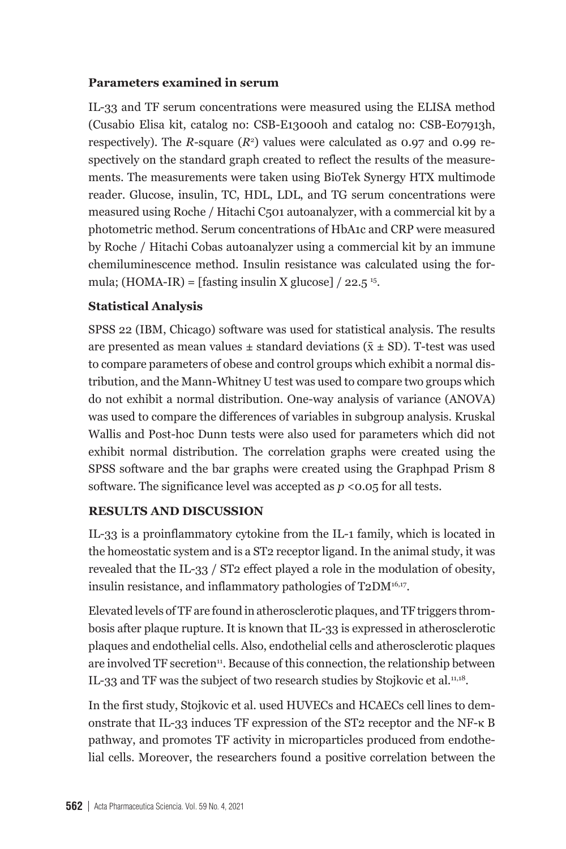## **Parameters examined in serum**

IL-33 and TF serum concentrations were measured using the ELISA method (Cusabio Elisa kit, catalog no: CSB-E13000h and catalog no: CSB-E07913h, respectively). The *R*-square (*R*<sup>2</sup>) values were calculated as 0.97 and 0.99 respectively on the standard graph created to reflect the results of the measurements. The measurements were taken using BioTek Synergy HTX multimode reader. Glucose, insulin, TC, HDL, LDL, and TG serum concentrations were measured using Roche / Hitachi C501 autoanalyzer, with a commercial kit by a photometric method. Serum concentrations of HbA1c and CRP were measured by Roche / Hitachi Cobas autoanalyzer using a commercial kit by an immune chemiluminescence method. Insulin resistance was calculated using the formula;  $(HOMA-IR) = \text{[fasting insulin X glucose]} / 22.5^{15}$ .

## **Statistical Analysis**

SPSS 22 (IBM, Chicago) software was used for statistical analysis. The results are presented as mean values  $\pm$  standard deviations ( $\bar{x} \pm SD$ ). T-test was used to compare parameters of obese and control groups which exhibit a normal distribution, and the Mann-Whitney U test was used to compare two groups which do not exhibit a normal distribution. One-way analysis of variance (ANOVA) was used to compare the differences of variables in subgroup analysis. Kruskal Wallis and Post-hoc Dunn tests were also used for parameters which did not exhibit normal distribution. The correlation graphs were created using the SPSS software and the bar graphs were created using the Graphpad Prism 8 software. The significance level was accepted as  $p \le 0.05$  for all tests.

## **RESULTS AND DISCUSSION**

IL-33 is a proinflammatory cytokine from the IL-1 family, which is located in the homeostatic system and is a ST2 receptor ligand. In the animal study, it was revealed that the IL-33 / ST2 effect played a role in the modulation of obesity, insulin resistance, and inflammatory pathologies of T2DM<sup>16,17</sup>.

Elevated levels of TF are found in atherosclerotic plaques, and TF triggers thrombosis after plaque rupture. It is known that IL-33 is expressed in atherosclerotic plaques and endothelial cells. Also, endothelial cells and atherosclerotic plaques are involved TF secretion<sup>11</sup>. Because of this connection, the relationship between IL-33 and TF was the subject of two research studies by Stojkovic et al.<sup>11,18</sup>.

In the first study, Stojkovic et al. used HUVECs and HCAECs cell lines to demonstrate that IL-33 induces TF expression of the ST2 receptor and the NF-κ B pathway, and promotes TF activity in microparticles produced from endothelial cells. Moreover, the researchers found a positive correlation between the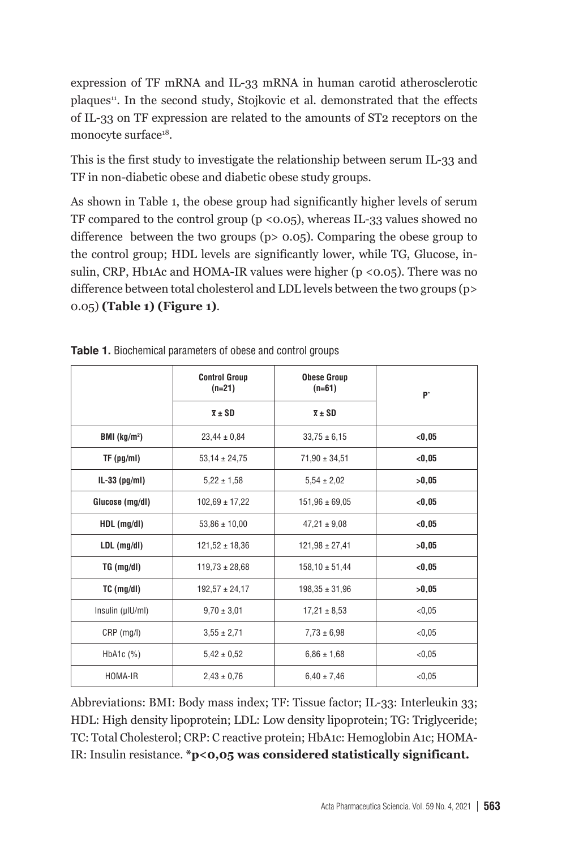expression of TF mRNA and IL-33 mRNA in human carotid atherosclerotic plaques<sup>11</sup>. In the second study, Stojkovic et al. demonstrated that the effects of IL-33 on TF expression are related to the amounts of ST2 receptors on the monocyte surface<sup>18</sup>.

This is the first study to investigate the relationship between serum IL-33 and TF in non-diabetic obese and diabetic obese study groups.

As shown in Table 1, the obese group had significantly higher levels of serum TF compared to the control group ( $p \le 0.05$ ), whereas IL-33 values showed no difference between the two groups (p> 0.05). Comparing the obese group to the control group; HDL levels are significantly lower, while TG, Glucose, insulin, CRP, Hb1Ac and HOMA-IR values were higher (p <0.05). There was no difference between total cholesterol and LDL levels between the two groups (p> 0.05) **(Table 1) (Figure 1)**.

|                           | <b>Control Group</b><br>$(n=21)$<br>$\overline{x}$ ± SD | <b>Obese Group</b><br>$(n=61)$<br>$\overline{x}$ $\pm$ SD | b.      |  |
|---------------------------|---------------------------------------------------------|-----------------------------------------------------------|---------|--|
| BMI $(kg/m2)$             | $23,44 \pm 0,84$                                        | $33,75 \pm 6,15$                                          | < 0, 05 |  |
| $TF$ (pg/ml)              | $53,14 \pm 24,75$                                       | $71,90 \pm 34,51$                                         | < 0.05  |  |
| IL-33 $(pg/ml)$           | $5,22 \pm 1,58$                                         | $5.54 \pm 2.02$                                           | >0.05   |  |
| Glucose (mg/dl)           | $102,69 \pm 17,22$                                      | $151,96 \pm 69,05$                                        | < 0.05  |  |
| $HDL$ (mg/dl)             | $53,86 \pm 10,00$                                       | $47,21 \pm 9,08$                                          | < 0, 05 |  |
| LDL (mg/dl)               | $121,52 \pm 18,36$                                      | $121,98 \pm 27,41$                                        | >0,05   |  |
| TG (mg/dl)                | $119,73 \pm 28,68$                                      | $158,10 \pm 51,44$                                        | < 0, 05 |  |
| $TC$ (mg/dl)              | $192,57 \pm 24,17$                                      | $198,35 \pm 31,96$                                        | >0.05   |  |
| Insulin (µIU/ml)          | $9,70 \pm 3,01$                                         | $17,21 \pm 8,53$                                          | < 0.05  |  |
| $CRP$ (mg/l)              | $3,55 \pm 2,71$                                         | $7,73 \pm 6,98$                                           | < 0,05  |  |
| HbA <sub>1</sub> c $(\%)$ | $5.42 \pm 0.52$                                         | $6.86 \pm 1.68$                                           | < 0.05  |  |
| HOMA-IR                   | $2,43 \pm 0,76$                                         | $6,40 \pm 7,46$                                           | < 0,05  |  |

**Table 1.** Biochemical parameters of obese and control groups

Abbreviations: BMI: Body mass index; TF: Tissue factor; IL-33: Interleukin 33; HDL: High density lipoprotein; LDL: Low density lipoprotein; TG: Triglyceride; TC: Total Cholesterol; CRP: C reactive protein; HbA1c: Hemoglobin A1c; HOMA-IR: Insulin resistance. **\*p<0,05 was considered statistically significant.**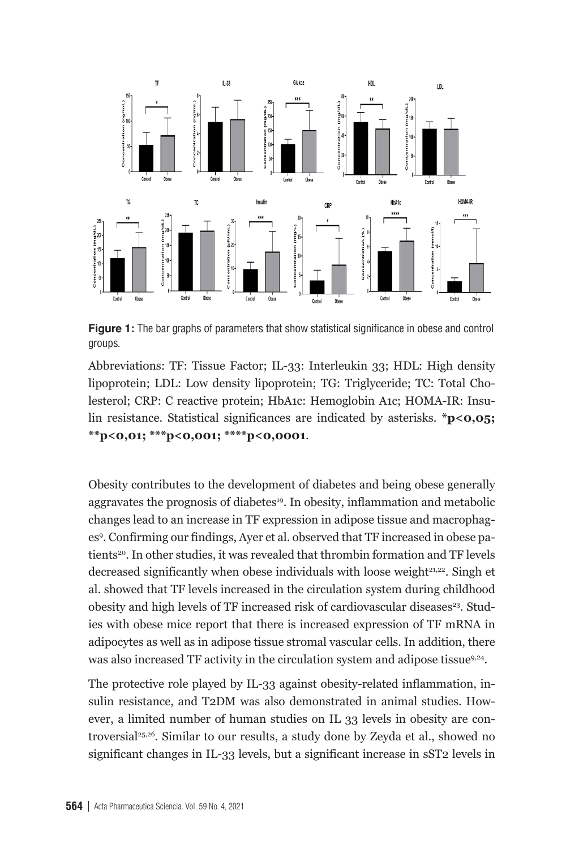

**Figure 1:** The bar graphs of parameters that show statistical significance in obese and control  $\mathbf{F}_{\mathbf{S}}$ : Tissue Factor; Interleuking 33; Holisaire; Lowensity lipoprotein; Lowensity lipoprotein; Lowensity lipoprotein; Lowensity lipoprotein; Lowensity lipoprotein; Lowensity lipoprotein; Lowensity lipoprotein; L groups.

Abbreviations: TF: Tissue Factor; IL-33: Interleukin 33; HDL: High density lipoprotein; LDL: Low density lipoprotein; TG: Triglyceride; TC: Total Cholesterol; CRP: C reactive protein; HbA1c: Hemoglobin A1c; HOMA-IR: Insu-Obesity contributes to the development of diabetes and being obese generally aggravates the prognosis **\*\*p<0,01; \*\*\*p<0,001; \*\*\*\*p<0,0001**.  $\mathbf{1}$ . In obtaining and metabolic changes lead to an increase in TF expression increase in TF expression in TF expression in TF expression in TF expression in TF expression in TF expression in TF expression in TF expre lin resistance. Statistical significances are indicated by asterisks. **\*p<0,05;** 

Obesity contributes to the development of diabetes and being obese generally aggravates the prognosis of diabetes<sup>19</sup>. In obesity, inflammation and metabolic changes lead to an increase in TF expression in adipose tissue and macrophages<sup>9</sup>. Confirming our findings, Ayer et al. observed that TF increased in obese patients<sup>20</sup>. In other studies, it was revealed that thrombin formation and TF levels decreased significantly when obese individuals with loose weight<sup>21,22</sup>. Singh et an showed that TT-30 as increased in the chedulation system during sinualised<br>obesity and high levels of TF increased risk of cardiovascular diseases<sup>23</sup>. Studis versity and ingle versity of the interests on the human studies of studies. The interest on IL 33 levels on IL 33 levels on IL 33 levels on IL 33 levels on IL 33 levels on IL 33 levels on IL 33 levels on IL 33 levels on adipocytes as well as in adipose tissue stromal vascular cells. In addition, there adipocytes as well as in adipose tissue stromal vascular cells. In addition, there edificant increased TF activity in the circulation system and adipose tissue<sup>9,24</sup>. al. study's showed that server were increased in overweight  $\mathcal{S}$  levels were increased in our population. al. showed that TF levels increased in the circulation system during childhood

The protective role played by IL-33 against obesity-related inflammation, insulin resistance, and T2DM was also demonstrated in animal studies. However, a limited number of human studies on IL 33 levels in obesity are controversial25,26. Similar to our results, a study done by Zeyda et al., showed no significant changes in IL-33 levels, but a significant increase in sST2 levels in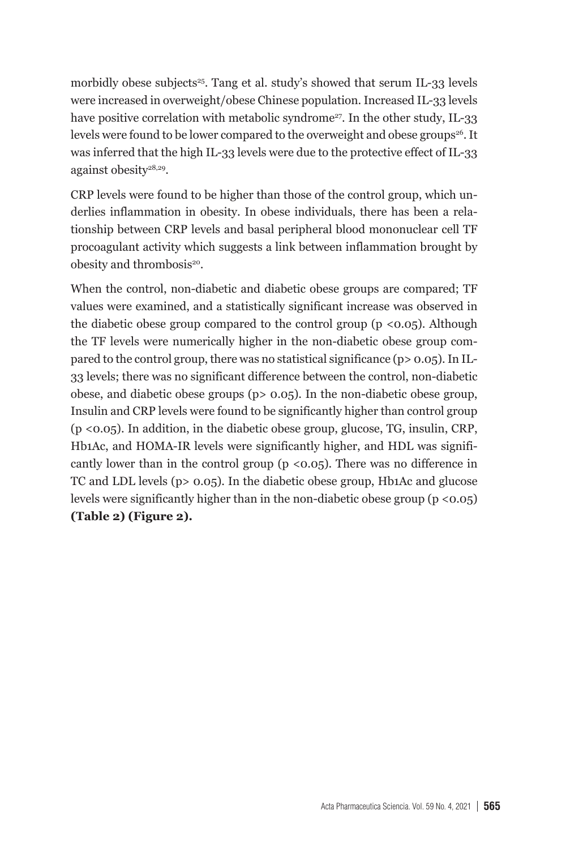morbidly obese subjects<sup>25</sup>. Tang et al. study's showed that serum IL-33 levels were increased in overweight/obese Chinese population. Increased IL-33 levels have positive correlation with metabolic syndrome<sup>27</sup>. In the other study, IL-33 levels were found to be lower compared to the overweight and obese groups<sup>26</sup>. It was inferred that the high IL-33 levels were due to the protective effect of IL-33 against obesity28,29.

CRP levels were found to be higher than those of the control group, which underlies inflammation in obesity. In obese individuals, there has been a relationship between CRP levels and basal peripheral blood mononuclear cell TF procoagulant activity which suggests a link between inflammation brought by obesity and thrombosis<sup>20</sup>.

When the control, non-diabetic and diabetic obese groups are compared; TF values were examined, and a statistically significant increase was observed in the diabetic obese group compared to the control group ( $p \le 0.05$ ). Although the TF levels were numerically higher in the non-diabetic obese group compared to the control group, there was no statistical significance (p> 0.05). In IL-33 levels; there was no significant difference between the control, non-diabetic obese, and diabetic obese groups (p> 0.05). In the non-diabetic obese group, Insulin and CRP levels were found to be significantly higher than control group (p <0.05). In addition, in the diabetic obese group, glucose, TG, insulin, CRP, Hb1Ac, and HOMA-IR levels were significantly higher, and HDL was significantly lower than in the control group ( $p \lt 0.05$ ). There was no difference in TC and LDL levels (p> 0.05). In the diabetic obese group, Hb1Ac and glucose levels were significantly higher than in the non-diabetic obese group (p <0.05) **(Table 2) (Figure 2).**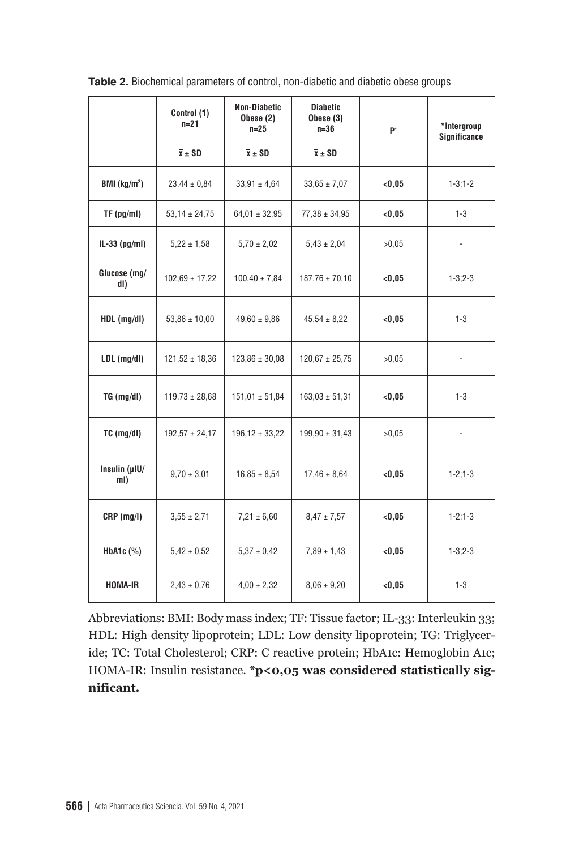|                          | Control (1)<br>$n=21$ | <b>Non-Diabetic</b><br>Obese (2)<br>$n = 25$ | <b>Diabetic</b><br>Obese $(3)$<br>$n=36$ | b.      | *Intergroup<br><b>Significance</b> |
|--------------------------|-----------------------|----------------------------------------------|------------------------------------------|---------|------------------------------------|
|                          | $\overline{x} \pm SD$ | $\overline{x}$ $\pm$ SD                      | $\overline{x}$ $\pm$ SD                  |         |                                    |
| BMI (kg/m <sup>2</sup> ) | $23,44 \pm 0,84$      | $33,91 \pm 4,64$                             | $33,65 \pm 7,07$                         | < 0.05  | $1 - 3; 1 - 2$                     |
| $TF$ (pg/ml)             | $53,14 \pm 24,75$     | $64,01 \pm 32,95$                            | $77,38 \pm 34,95$                        | < 0.05  | $1 - 3$                            |
| $IL-33$ (pg/ml)          | $5,22 \pm 1,58$       | $5.70 \pm 2.02$                              | $5.43 \pm 2.04$                          | >0.05   |                                    |
| Glucose (mg/<br>dl)      | $102,69 \pm 17,22$    | $100.40 \pm 7.84$                            | $187.76 \pm 70.10$                       | < 0.05  | $1 - 3:2 - 3$                      |
| $HDL$ (mg/dl)            | $53,86 \pm 10,00$     | $49,60 \pm 9,86$                             | $45,54 \pm 8,22$                         | < 0.05  | $1 - 3$                            |
| $LDL$ (mg/dl)            | $121,52 \pm 18,36$    | $123.86 \pm 30.08$                           | $120,67 \pm 25,75$                       | >0.05   |                                    |
| TG (mg/dl)               | $119,73 \pm 28,68$    | $151,01 \pm 51,84$                           | $163,03 \pm 51,31$                       | < 0, 05 | $1 - 3$                            |
| $TC$ (mg/dl)             | $192,57 \pm 24,17$    | $196,12 \pm 33,22$                           | $199,90 \pm 31,43$                       | >0.05   |                                    |
| Insulin (µIU/<br>ml)     | $9.70 \pm 3.01$       | $16.85 \pm 8.54$                             | $17,46 \pm 8,64$                         | < 0.05  | $1 - 2:1 - 3$                      |
| $CRP$ (mg/l)             | $3,55 \pm 2,71$       | $7,21 \pm 6,60$                              | $8,47 \pm 7,57$                          | < 0, 05 | $1 - 2:1 - 3$                      |
| HbA1c (%)                | $5.42 \pm 0.52$       | $5.37 \pm 0.42$                              | $7.89 \pm 1.43$                          | < 0.05  | $1 - 3:2 - 3$                      |
| <b>HOMA-IR</b>           | $2,43 \pm 0,76$       | $4,00 \pm 2,32$                              | $8,06 \pm 9,20$                          | < 0, 05 | $1 - 3$                            |

**Table 2.** Biochemical parameters of control, non-diabetic and diabetic obese groups

Abbreviations: BMI: Body mass index; TF: Tissue factor; IL-33: Interleukin 33; HDL: High density lipoprotein; LDL: Low density lipoprotein; TG: Triglyceride; TC: Total Cholesterol; CRP: C reactive protein; HbA1c: Hemoglobin A1c; HOMA-IR: Insulin resistance. **\*p<0,05 was considered statistically significant.**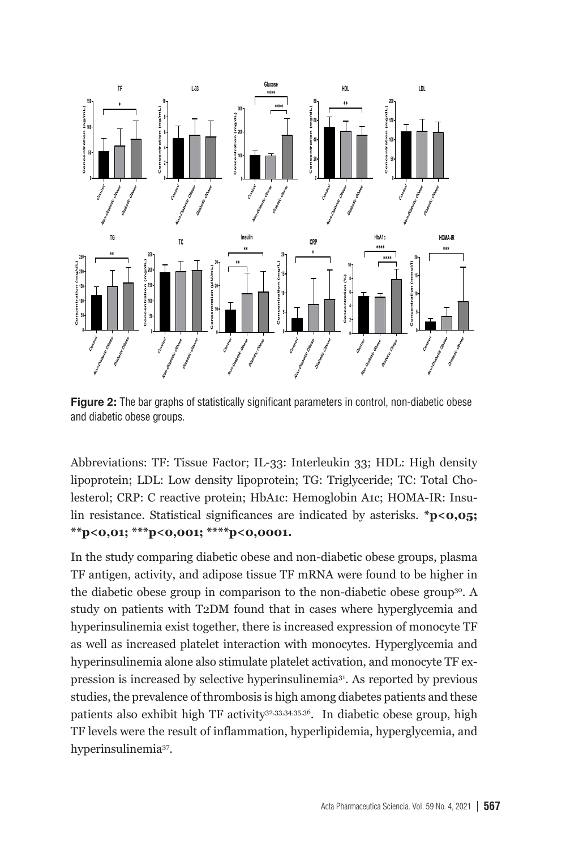

**Figure 2:** The bar graphs of statistically significant parameters in control, non-diabetic obese and diabetic obese groups.

Abbreviations: TF: Tissue Factor; IL-33: Interleukin 33; HDL: High density lipoprotein; LDL: Low density lipoprotein; TG: Triglyceride; TC: Total Cholesterol; CRP: C reactive protein; HbA1c: Hemoglobin A1c; HOMA-IR: Insulin resistance. Statistical significances are indicated by asterisks. \*p<0.05; **\*\*p<0,01; \*\*\*p<0,001; \*\*\*\*p<0,0001.**

In the study comparing diabetic obese and non-diabetic obese groups, plasma TF antigen, activity, and adipose tissue TF mRNA were found to be higher in the diabetic obese group in comparison to the non-diabetic obese group30. A study on patients with T2DM found that in cases where hyperglycemia and hyperinsulinemia exist together, there is increased expression of monocyte TF as well as increased platelet interaction with monocytes. Hyperglycemia and hyperinsulinemia alone also stimulate platelet activation, and monocyte TF expression is increased by selective hyperinsulinemia31. As reported by previous studies, the prevalence of thrombosis is high among diabetes patients and these patients also exhibit high TF activity<sup>32,33,34,35,36</sup>. In diabetic obese group, high TF levels were the result of inflammation, hyperlipidemia, hyperglycemia, and hyperinsulinemia37.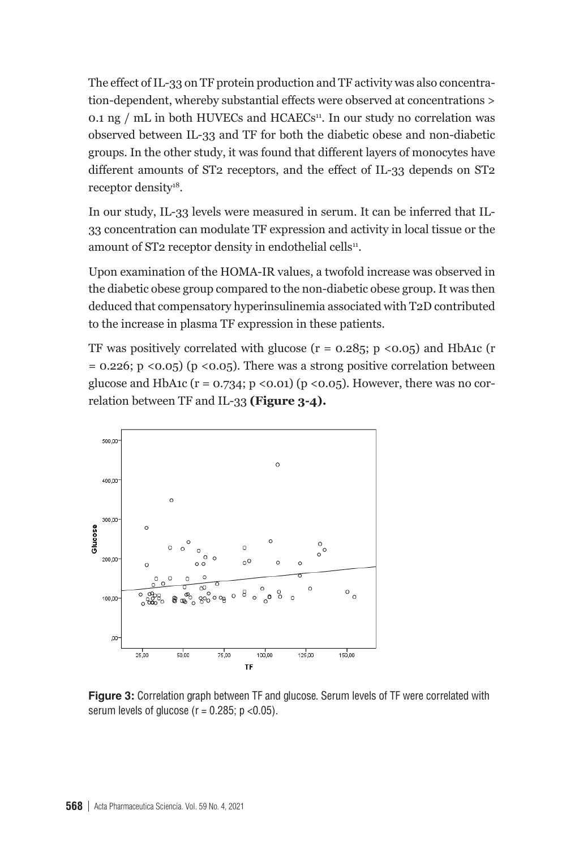The effect of IL-33 on TF protein production and TF activity was also concentration-dependent, whereby substantial effects were observed at concentrations > 0.1 ng /  $mL$  in both HUVECs and HCAECs<sup>11</sup>. In our study no correlation was observed between IL-33 and TF for both the diabetic obese and non-diabetic groups. In the other study, it was found that different layers of monocytes have different amounts of ST2 receptors, and the effect of IL-33 depends on ST2 receptor density<sup>18</sup>.

In our study, IL-33 levels were measured in serum. It can be inferred that IL-33 concentration can modulate TF expression and activity in local tissue or the amount of ST2 receptor density in endothelial cells<sup>11</sup>.

Upon examination of the HOMA-IR values, a twofold increase was observed in the diabetic obese group compared to the non-diabetic obese group. It was then deduced that compensatory hyperinsulinemia associated with T2D contributed to the increase in plasma TF expression in these patients.

TF was positively correlated with glucose  $(r = 0.285; p \lt 0.05)$  and HbA1c  $(r$  $= 0.226$ ; p <0.05) (p <0.05). There was a strong positive correlation between glucose and HbA1c ( $r = 0.734$ ;  $p \le 0.01$ ) ( $p \le 0.05$ ). However, there was no correlation between TF and IL-33 **(Figure 3-4).**



**Figure 3:** Correlation graph between TF and glucose. Serum levels of TF were correlated with serum levels of dunces  $(r - 0.295)$  and  $0.61$ . serum levels of glucose ( $r = 0.285$ ;  $p < 0.05$ ).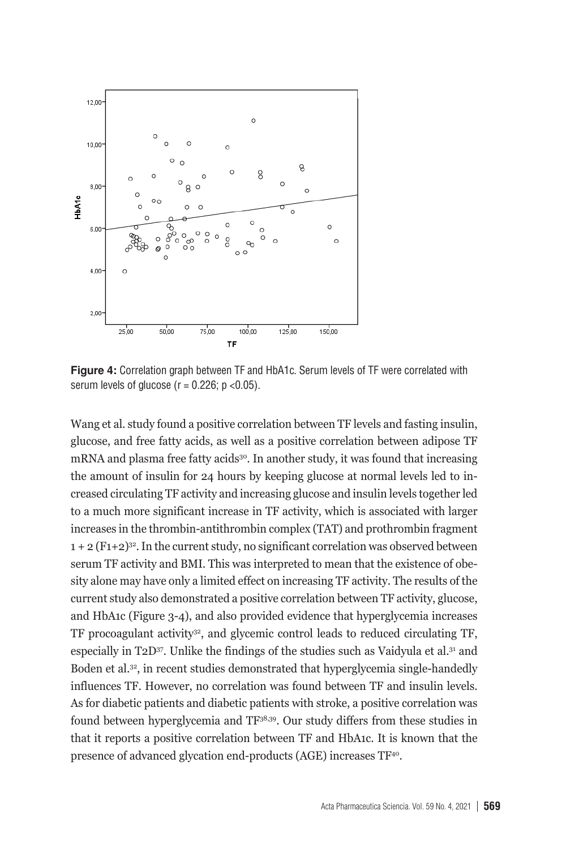

serum levels of glucose ( $r = 0.226$ ; p <0.05). **Figure 4:** Correlation graph between TF and HbA1c. Serum levels of TF were correlated with

glucose, and free fatty acids, as well as a positive correlation between adipose TF mRNA and plasma free fatty acids<sup>30</sup>. In another study, it was found that increasing the amount of insulin for 24 hours by keeping glucose at normal levels led to into a much more significant increase in TF activity, which is associated with larger increases in the thrombin-antithrombin complex (TAT) and prothrombin fragment  $1 + 2$  (F1+2)<sup>32</sup>. In the current study, no significant correlation was observed between Wang et al. study found a positive correlation between TF levels and fasting insulin, creased circulating TF activity and increasing glucose and insulin levels together led serum TF activity and BMI. This was interpreted to mean that the existence of obesity alone may have only a limited effect on increasing TF activity. The results of the current study also demonstrated a positive correlation between TF activity, glucose, and HbA1c (Figure 3-4), and also provided evidence that hyperglycemia increases TF procoagulant activity32, and glycemic control leads to reduced circulating TF, especially in T2D37. Unlike the findings of the studies such as Vaidyula et al.31 and Boden et al.32, in recent studies demonstrated that hyperglycemia single-handedly influences TF. However, no correlation was found between TF and insulin levels. As for diabetic patients and diabetic patients with stroke, a positive correlation was found between hyperglycemia and TF38,39. Our study differs from these studies in that it reports a positive correlation between TF and HbA1c. It is known that the presence of advanced glycation end-products (AGE) increases TF40.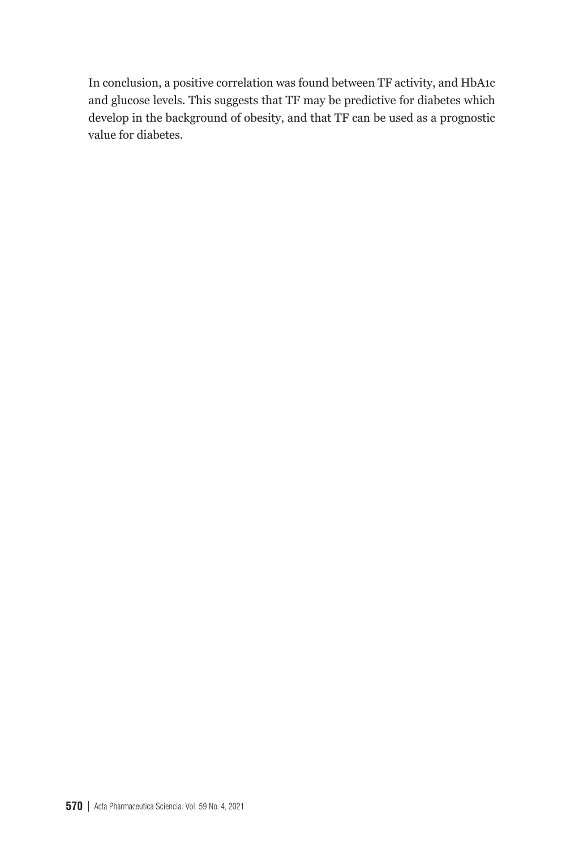In conclusion, a positive correlation was found between TF activity, and HbA1c and glucose levels. This suggests that TF may be predictive for diabetes which develop in the background of obesity, and that TF can be used as a prognostic value for diabetes.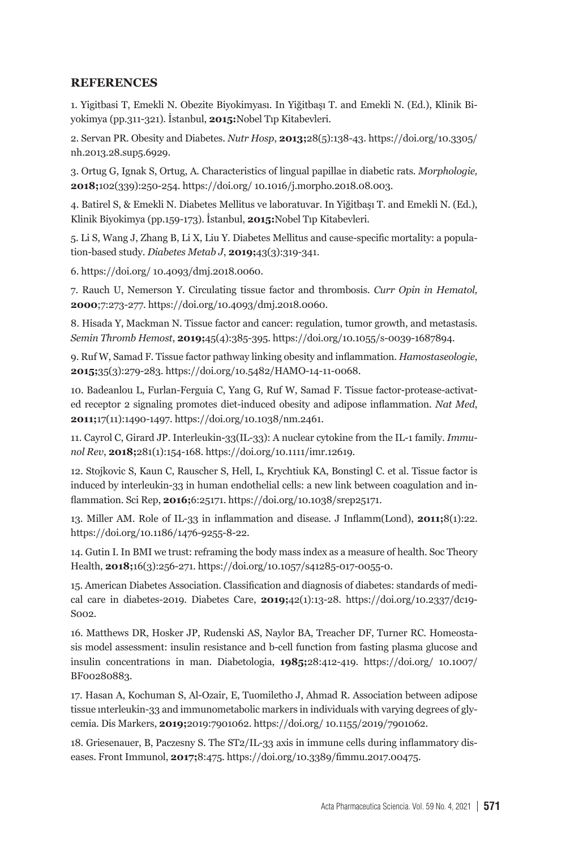#### **REFERENCES**

1. Yigitbasi T, Emekli N. Obezite Biyokimyası. In Yiğitbaşı T. and Emekli N. (Ed.), Klinik Biyokimya (pp.311-321). İstanbul, **2015:**Nobel Tıp Kitabevleri.

2. Servan PR. Obesity and Diabetes. *Nutr Hosp*, **2013;**28(5):138-43. https://doi.org/10.3305/ nh.2013.28.sup5.6929.

3. Ortug G, Ignak S, Ortug, A. Characteristics of lingual papillae in diabetic rats. *Morphologie,*  **2018;**102(339):250-254. https://doi.org/ 10.1016/j.morpho.2018.08.003.

4. Batirel S, & Emekli N. Diabetes Mellitus ve laboratuvar. In Yiğitbaşı T. and Emekli N. (Ed.), Klinik Biyokimya (pp.159-173). İstanbul, **2015:**Nobel Tıp Kitabevleri.

5. Li S, Wang J, Zhang B, Li X, Liu Y. Diabetes Mellitus and cause-specific mortality: a population-based study. *Diabetes Metab J*, **2019;**43(3):319-341.

6. https://doi.org/ 10.4093/dmj.2018.0060.

7. Rauch U, Nemerson Y. Circulating tissue factor and thrombosis. *Curr Opin in Hematol,* **2000**;7:273-277. https://doi.org/10.4093/dmj.2018.0060.

8. Hisada Y, Mackman N. Tissue factor and cancer: regulation, tumor growth, and metastasis. *Semin Thromb Hemost*, **2019;**45(4):385-395. https://doi.org/10.1055/s-0039-1687894.

9. Ruf W, Samad F. Tissue factor pathway linking obesity and inflammation. *Hamostaseologie*, **2015;**35(3):279-283. https://doi.org/10.5482/HAMO-14-11-0068.

10. Badeanlou L, Furlan-Ferguia C, Yang G, Ruf W, Samad F. Tissue factor-protease-activated receptor 2 signaling promotes diet-induced obesity and adipose inflammation. *Nat Med*, **2011;**17(11):1490-1497. https://doi.org/10.1038/nm.2461.

11. Cayrol C, Girard JP. Interleukin-33(IL-33): A nuclear cytokine from the IL-1 family. *Immunol Rev*, **2018;**281(1):154-168. https://doi.org/10.1111/imr.12619.

12. Stojkovic S, Kaun C, Rauscher S, Hell, L, Krychtiuk KA, Bonstingl C. et al. Tissue factor is induced by interleukin-33 in human endothelial cells: a new link between coagulation and inflammation. Sci Rep, **2016;**6:25171. https://doi.org/10.1038/srep25171.

13. Miller AM. Role of IL-33 in inflammation and disease. J Inflamm(Lond), **2011;**8(1):22. https://doi.org/10.1186/1476-9255-8-22.

14. Gutin I. In BMI we trust: reframing the body mass index as a measure of health. Soc Theory Health, **2018;**16(3):256-271. https://doi.org/10.1057/s41285-017-0055-0.

15. American Diabetes Association. Classification and diagnosis of diabetes: standards of medical care in diabetes-2019. Diabetes Care, **2019;**42(1):13-28. https://doi.org/10.2337/dc19- S002.

16. Matthews DR, Hosker JP, Rudenski AS, Naylor BA, Treacher DF, Turner RC. Homeostasis model assessment: insulin resistance and b-cell function from fasting plasma glucose and insulin concentrations in man. Diabetologia, **1985;**28:412-419. https://doi.org/ 10.1007/ BF00280883.

17. Hasan A, Kochuman S, Al-Ozair, E, Tuomiletho J, Ahmad R. Association between adipose tissue ınterleukin-33 and immunometabolic markers in individuals with varying degrees of glycemia. Dis Markers, **2019;**2019:7901062. https://doi.org/ 10.1155/2019/7901062.

18. Griesenauer, B, Paczesny S. The ST2/IL-33 axis in immune cells during inflammatory diseases. Front Immunol, **2017;**8:475. https://doi.org/10.3389/fimmu.2017.00475.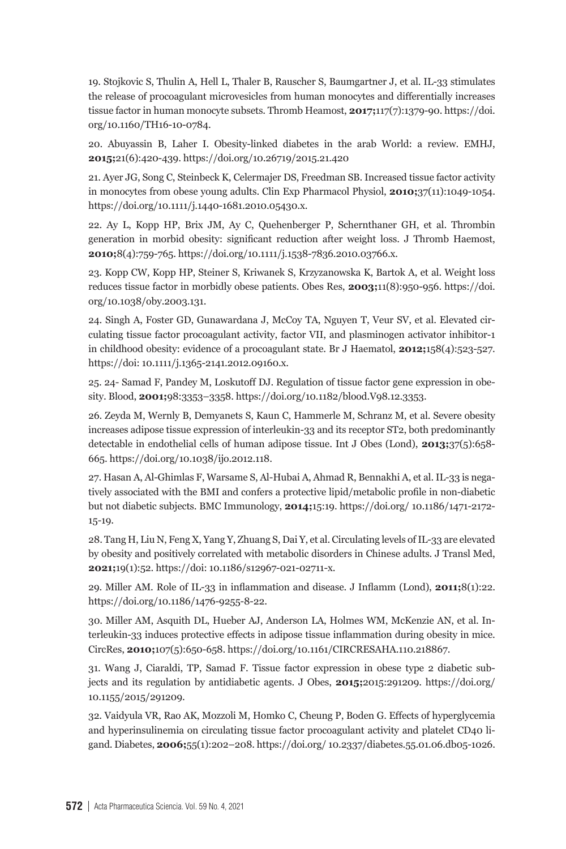19. Stojkovic S, Thulin A, Hell L, Thaler B, Rauscher S, Baumgartner J, et al. IL-33 stimulates the release of procoagulant microvesicles from human monocytes and differentially increases tissue factor in human monocyte subsets. Thromb Heamost, **2017;**117(7):1379-90. https://doi. org/10.1160/TH16-10-0784.

20. Abuyassin B, Laher I. Obesity-linked diabetes in the arab World: a review. EMHJ, **2015;**21(6):420-439. https://doi.org/10.26719/2015.21.420

21. Ayer JG, Song C, Steinbeck K, Celermajer DS, Freedman SB. Increased tissue factor activity in monocytes from obese young adults. Clin Exp Pharmacol Physiol, **2010;**37(11):1049-1054. https://doi.org/10.1111/j.1440-1681.2010.05430.x.

22. Ay L, Kopp HP, Brix JM, Ay C, Quehenberger P, Schernthaner GH, et al. Thrombin generation in morbid obesity: significant reduction after weight loss. J Thromb Haemost, **2010;**8(4):759-765. https://doi.org/10.1111/j.1538-7836.2010.03766.x.

23. Kopp CW, Kopp HP, Steiner S, Kriwanek S, Krzyzanowska K, Bartok A, et al. Weight loss reduces tissue factor in morbidly obese patients. Obes Res, **2003;**11(8):950-956. https://doi. org/10.1038/oby.2003.131.

24. Singh A, Foster GD, Gunawardana J, McCoy TA, Nguyen T, Veur SV, et al. Elevated circulating tissue factor procoagulant activity, factor VII, and plasminogen activator inhibitor-1 in childhood obesity: evidence of a procoagulant state. Br J Haematol, **2012;**158(4):523-527. https://doi: 10.1111/j.1365-2141.2012.09160.x.

25. 24- Samad F, Pandey M, Loskutoff DJ. Regulation of tissue factor gene expression in obesity. Blood, **2001;**98:3353–3358. https://doi.org/10.1182/blood.V98.12.3353.

26. Zeyda M, Wernly B, Demyanets S, Kaun C, Hammerle M, Schranz M, et al. Severe obesity increases adipose tissue expression of interleukin-33 and its receptor ST2, both predominantly detectable in endothelial cells of human adipose tissue. Int J Obes (Lond), **2013;**37(5):658- 665. https://doi.org/10.1038/ijo.2012.118.

27. Hasan A, Al-Ghimlas F, Warsame S, Al-Hubai A, Ahmad R, Bennakhi A, et al. IL-33 is negatively associated with the BMI and confers a protective lipid/metabolic profile in non-diabetic but not diabetic subjects. BMC Immunology, **2014;**15:19. https://doi.org/ 10.1186/1471-2172- 15-19.

28. Tang H, Liu N, Feng X, Yang Y, Zhuang S, Dai Y, et al. Circulating levels of IL-33 are elevated by obesity and positively correlated with metabolic disorders in Chinese adults. J Transl Med, **2021;**19(1):52. https://doi: 10.1186/s12967-021-02711-x.

29. Miller AM. Role of IL-33 in inflammation and disease. J Inflamm (Lond), **2011;**8(1):22. https://doi.org/10.1186/1476-9255-8-22.

30. Miller AM, Asquith DL, Hueber AJ, Anderson LA, Holmes WM, McKenzie AN, et al. Interleukin-33 induces protective effects in adipose tissue inflammation during obesity in mice. CircRes, **2010;**107(5):650-658. https://doi.org/10.1161/CIRCRESAHA.110.218867.

31. Wang J, Ciaraldi, TP, Samad F. Tissue factor expression in obese type 2 diabetic subjects and its regulation by antidiabetic agents. J Obes, **2015;**2015:291209. https://doi.org/ 10.1155/2015/291209.

32. Vaidyula VR, Rao AK, Mozzoli M, Homko C, Cheung P, Boden G. Effects of hyperglycemia and hyperinsulinemia on circulating tissue factor procoagulant activity and platelet CD40 ligand. Diabetes, **2006;**55(1):202–208. https://doi.org/ 10.2337/diabetes.55.01.06.db05-1026.